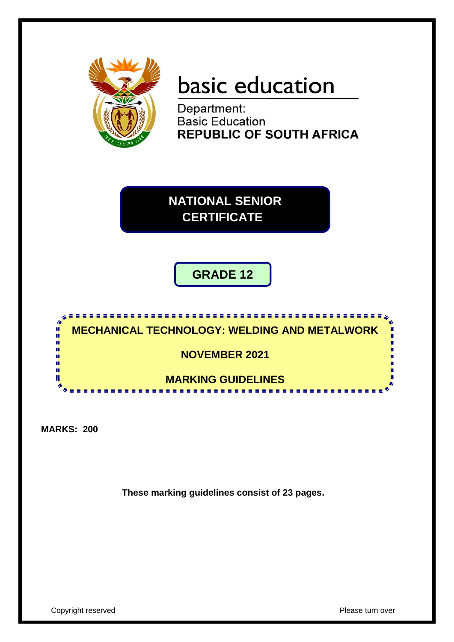

# basic education

Department: **Basic Education REPUBLIC OF SOUTH AFRICA** 

**NATIONAL SENIOR CERTIFICATE**

**GRADE 12**



**MARKS: 200**

**These marking guidelines consist of 23 pages.**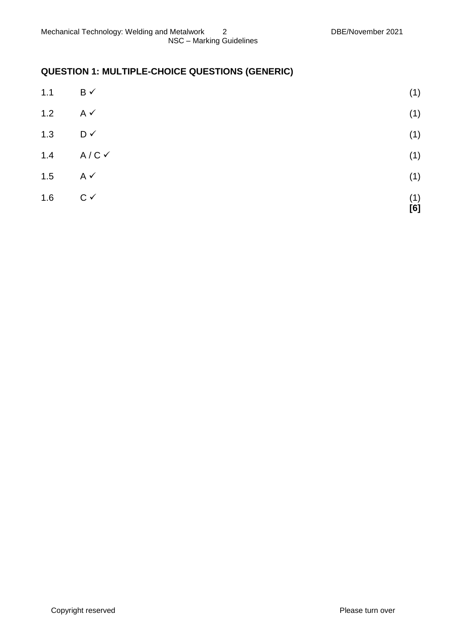# **QUESTION 1: MULTIPLE-CHOICE QUESTIONS (GENERIC)**

| 1.1 | $\mathsf{B} \checkmark$ | (1)        |
|-----|-------------------------|------------|
| 1.2 | $A \checkmark$          | (1)        |
| 1.3 | D✓                      | (1)        |
| 1.4 | $A/C$ $\checkmark$      | (1)        |
| 1.5 | $A \checkmark$          | (1)        |
| 1.6 | $C \vee$                | (1)<br>[6] |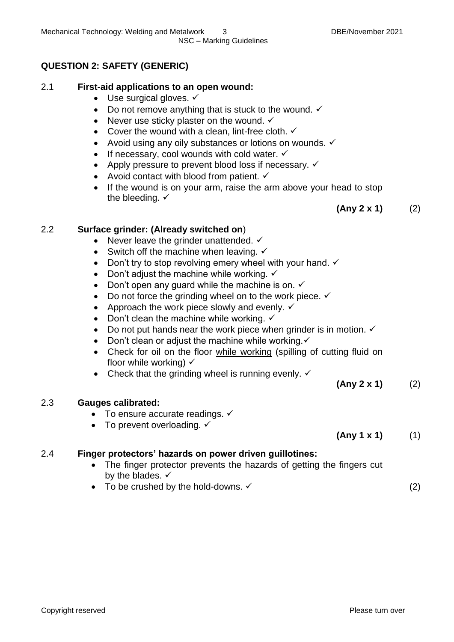# **QUESTION 2: SAFETY (GENERIC)**

# 2.1 **First-aid applications to an open wound:**

- $\bullet$  Use surgical gloves.  $\checkmark$
- Do not remove anything that is stuck to the wound.  $\checkmark$
- Never use sticky plaster on the wound.  $\checkmark$
- Cover the wound with a clean, lint-free cloth.  $\checkmark$
- Avoid using any oily substances or lotions on wounds.  $\checkmark$
- If necessary, cool wounds with cold water.  $\checkmark$
- Apply pressure to prevent blood loss if necessary.  $\checkmark$
- Avoid contact with blood from patient.  $\checkmark$
- If the wound is on your arm, raise the arm above your head to stop the bleeding.  $\checkmark$

**(Any 2 x 1)** (2)

# 2.2 **Surface grinder: (Already switched on**)

- Never leave the grinder unattended.  $\checkmark$
- Switch off the machine when leaving.  $\checkmark$
- Don't try to stop revolving emery wheel with your hand.  $\checkmark$
- Don't adjust the machine while working.  $\checkmark$
- Don't open any guard while the machine is on.  $\checkmark$
- $\bullet$  Do not force the grinding wheel on to the work piece.  $\checkmark$
- Approach the work piece slowly and evenly.  $\checkmark$
- Don't clean the machine while working.  $\checkmark$
- Do not put hands near the work piece when grinder is in motion.  $\checkmark$
- Don't clean or adjust the machine while working. $\checkmark$
- Check for oil on the floor while working (spilling of cutting fluid on floor while working)  $\checkmark$
- Check that the grinding wheel is running evenly.  $\checkmark$

# 2.3 **Gauges calibrated:**

- $\bullet$  To ensure accurate readings.  $\checkmark$
- To prevent overloading.  $\checkmark$

# **(Any 1 x 1)** (1)

**(Any 2 x 1)** (2)

# 2.4 **Finger protectors' hazards on power driven guillotines:**

- The finger protector prevents the hazards of getting the fingers cut by the blades.  $\checkmark$
- To be crushed by the hold-downs.  $\checkmark$  (2)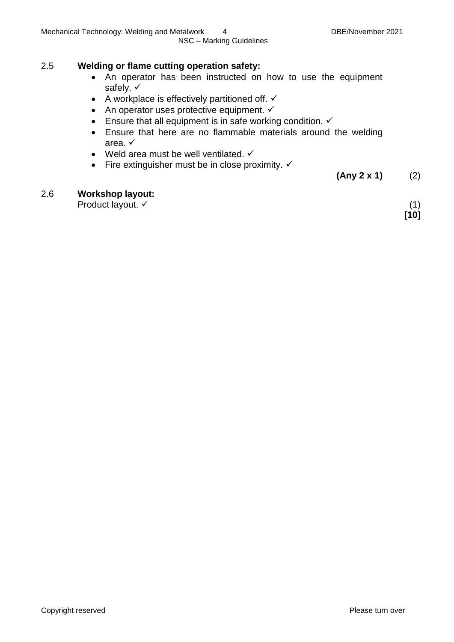### 2.5 **Welding or flame cutting operation safety:**

- An operator has been instructed on how to use the equipment safely.  $\checkmark$
- A workplace is effectively partitioned off.  $\checkmark$
- An operator uses protective equipment.  $\checkmark$
- Ensure that all equipment is in safe working condition.  $\checkmark$
- Ensure that here are no flammable materials around the welding area.
- Weld area must be well ventilated.  $\checkmark$
- Fire extinguisher must be in close proximity.  $\checkmark$

**(Any 2 x 1)** (2)

#### 2.6 **Workshop layout:**

Product layout.  $\checkmark$  (1)

**[10]**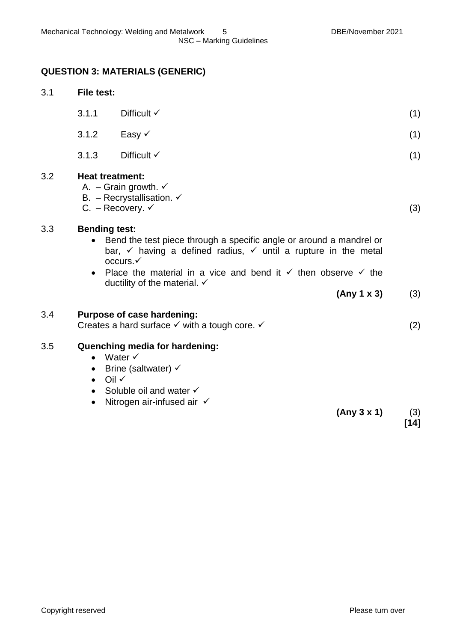# **QUESTION 3: MATERIALS (GENERIC)**

| 3.1 | <b>File test:</b>                                                                                                                                                                                                                                                                                                                                           |                                                                                                                                                                                    |      |
|-----|-------------------------------------------------------------------------------------------------------------------------------------------------------------------------------------------------------------------------------------------------------------------------------------------------------------------------------------------------------------|------------------------------------------------------------------------------------------------------------------------------------------------------------------------------------|------|
|     | 3.1.1                                                                                                                                                                                                                                                                                                                                                       | Difficult $\checkmark$                                                                                                                                                             | (1)  |
|     | 3.1.2                                                                                                                                                                                                                                                                                                                                                       | Easy $\checkmark$                                                                                                                                                                  | (1)  |
|     | 3.1.3                                                                                                                                                                                                                                                                                                                                                       | Difficult $\checkmark$                                                                                                                                                             | (1)  |
| 3.2 | <b>Heat treatment:</b>                                                                                                                                                                                                                                                                                                                                      | A. – Grain growth. $\checkmark$<br>B. - Recrystallisation. $\checkmark$<br>C. – Recovery. $\checkmark$                                                                             | (3)  |
| 3.3 | <b>Bending test:</b><br>Bend the test piece through a specific angle or around a mandrel or<br>$\bullet$<br>bar, $\checkmark$ having a defined radius, $\checkmark$ until a rupture in the metal<br>occurs.√<br>Place the material in a vice and bend it $\checkmark$ then observe $\checkmark$ the<br>$\bullet$<br>ductility of the material. $\checkmark$ |                                                                                                                                                                                    |      |
|     |                                                                                                                                                                                                                                                                                                                                                             | (Any 1 x 3)                                                                                                                                                                        | (3)  |
| 3.4 |                                                                                                                                                                                                                                                                                                                                                             | Purpose of case hardening:<br>Creates a hard surface $\checkmark$ with a tough core. $\checkmark$                                                                                  | (2)  |
| 3.5 | $\bullet$<br>$\bullet$<br>$\bullet$<br>$\bullet$<br>$\bullet$                                                                                                                                                                                                                                                                                               | Quenching media for hardening:<br>Water $\checkmark$<br>Brine (saltwater) $\checkmark$<br>Oil $\checkmark$<br>Soluble oil and water √<br>Nitrogen air-infused air √<br>(Any 3 x 1) | (3)  |
|     |                                                                                                                                                                                                                                                                                                                                                             |                                                                                                                                                                                    | [14] |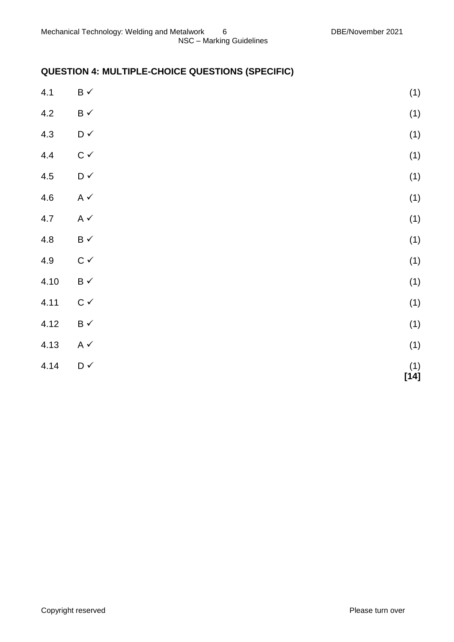# **QUESTION 4: MULTIPLE-CHOICE QUESTIONS (SPECIFIC)**

| 4.1  | $\mathsf B\prec$                  | (1)                                              |
|------|-----------------------------------|--------------------------------------------------|
| 4.2  | $\mathsf B\prec$                  | (1)                                              |
| 4.3  | $\mathsf{D} \mathrel{\checkmark}$ | (1)                                              |
| 4.4  | $\mathtt{C}\,\checkmark$          | (1)                                              |
| 4.5  | $\mathsf{D} \mathrel{\checkmark}$ | (1)                                              |
| 4.6  | A $\checkmark$                    | (1)                                              |
| 4.7  | A $\checkmark$                    | (1)                                              |
| 4.8  | $\mathsf B\prec$                  | (1)                                              |
| 4.9  | $\mathsf{C}\;\mathsf{v}$          | (1)                                              |
| 4.10 | $\mathsf B\prec$                  | (1)                                              |
| 4.11 | $\mathtt{C}\,\checkmark$          | (1)                                              |
| 4.12 | $\mathsf B\prec$                  | (1)                                              |
| 4.13 | A $\checkmark$                    | (1)                                              |
| 4.14 | $\mathsf{D} \mathrel{\checkmark}$ | $\begin{array}{c} (1) \\ {\bf [14]} \end{array}$ |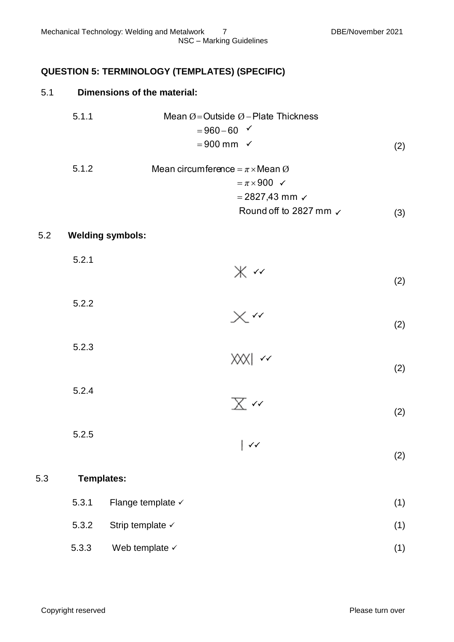# **QUESTION 5: TERMINOLOGY (TEMPLATES) (SPECIFIC)**

### 5.1 **Dimensions of the material:**

5.1.1 Mean 
$$
\emptyset
$$
 = Outside  $\emptyset$  - Plate Thichness  
= 960-60   
= 900 mm   
✓ (2)

5.1.2 Mean circumference = 
$$
\pi \times \text{Mean } \emptyset
$$
  
=  $\pi \times 900 \checkmark$   
= 2827,43 mm  $\checkmark$   
Round off to 2827 mm  $\checkmark$  (3)

#### 5.2 **Welding symbols:**

| 5.2.1 | $* \sim$              | (2) |
|-------|-----------------------|-----|
| 5.2.2 |                       |     |
|       | $\times$ $\cdot\cdot$ | (2) |

| 5.2.3 |             |     |
|-------|-------------|-----|
|       | $ XX  \sim$ |     |
|       |             | (2) |

5.2.4  $\checkmark$ 

| 5.2.5 |                 |
|-------|-----------------|
|       | $\vert \sqrt{}$ |

#### 5.3 **Templates:**

- 5.3.1 Flange template  $\checkmark$  (1)
- 5.3.2 Strip template  $\checkmark$  (1)
- $5.3.3$  Web template  $\checkmark$  (1)

(2)

(2)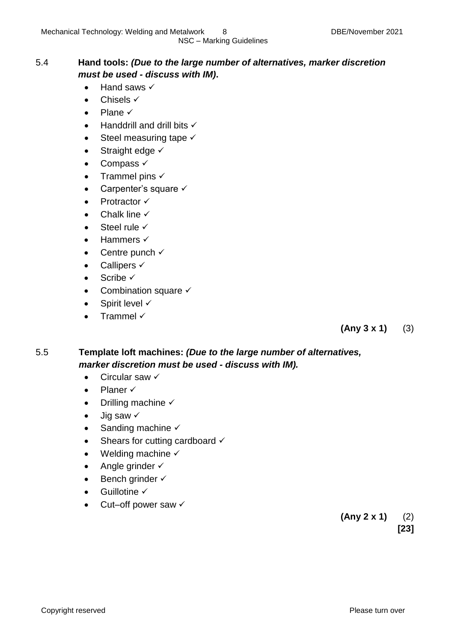### 5.4 **Hand tools:** *(Due to the large number of alternatives, marker discretion must be used - discuss with IM)***.**

- $\bullet$  Hand saws  $\checkmark$
- $\bullet$  Chisels  $\checkmark$
- $\bullet$  Plane  $\checkmark$
- $\bullet$  Handdrill and drill bits  $\checkmark$
- $\bullet$  Steel measuring tape  $\checkmark$
- $\bullet$  Straight edge  $\checkmark$
- $\bullet$  Compass  $\checkmark$
- Trammel pins  $\checkmark$
- Carpenter's square  $\checkmark$
- $\bullet$  Protractor  $\checkmark$
- $\bullet$  Chalk line  $\checkmark$
- $\bullet$  Steel rule  $\checkmark$
- $\bullet$  Hammers  $\checkmark$
- Centre punch  $\checkmark$
- Callipers  $\checkmark$
- $\bullet$  Scribe  $\checkmark$
- Combination square  $\checkmark$
- $\bullet$  Spirit level  $\checkmark$
- Trammel  $\checkmark$

**(Any 3 x 1)** (3)

### 5.5 **Template loft machines:** *(Due to the large number of alternatives, marker discretion must be used - discuss with IM).*

- $\bullet$  Circular saw  $\checkmark$
- $\bullet$  Planer  $\checkmark$
- Drilling machine  $\checkmark$
- $\bullet$  Jig saw  $\checkmark$
- Sanding machine  $\checkmark$
- $\bullet$  Shears for cutting cardboard  $\checkmark$
- Welding machine  $\checkmark$
- Angle grinder  $\checkmark$
- $\bullet$  Bench grinder  $\checkmark$
- $\bullet$  Guillotine  $\checkmark$
- Cut–off power saw  $\checkmark$

**(Any 2 x 1)** (2) **[23]**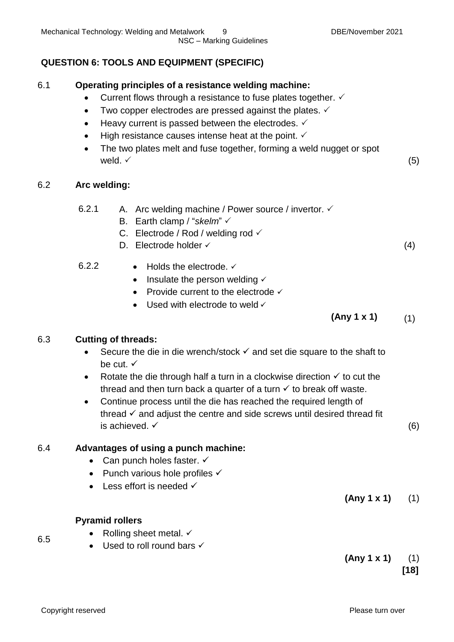# **QUESTION 6: TOOLS AND EQUIPMENT (SPECIFIC)**

#### 6.1 **Operating principles of a resistance welding machine:**

- Current flows through a resistance to fuse plates together.  $\checkmark$
- Two copper electrodes are pressed against the plates.  $\checkmark$
- $\bullet$  Heavy current is passed between the electrodes.  $\checkmark$
- $\bullet$  High resistance causes intense heat at the point.  $\checkmark$
- The two plates melt and fuse together, forming a weld nugget or spot weld.  $\checkmark$  (5)

### 6.2 **Arc welding:**

- 6.2.1 A. Arc welding machine / Power source / invertor.  $\checkmark$ 
	- B. Earth clamp / "*skelm*"
	- C. Electrode / Rod / welding rod  $\checkmark$
	- D. Electrode holder  $\checkmark$  (4)

6.2.2 
$$
\bullet
$$
 Holds the electrode.  $\checkmark$ 

- $\bullet$  Insulate the person welding  $\checkmark$
- Provide current to the electrode  $\checkmark$
- $\bullet$  Used with electrode to weld  $\checkmark$

# **(Any 1 x 1)** (1)

### 6.3 **Cutting of threads:**

- Secure the die in die wrench/stock  $\checkmark$  and set die square to the shaft to be cut.  $\checkmark$
- Rotate the die through half a turn in a clockwise direction  $\checkmark$  to cut the thread and then turn back a quarter of a turn  $\checkmark$  to break off waste.
- Continue process until the die has reached the required length of thread  $\checkmark$  and adjust the centre and side screws until desired thread fit is achieved.  $\checkmark$  (6)

### 6.4 **Advantages of using a punch machine:**

- Can punch holes faster.  $\checkmark$
- Punch various hole profiles  $\checkmark$
- $\bullet$  Less effort is needed  $\checkmark$

 $(Any 1 x 1)$  (1)

### **Pyramid rollers**

- Rolling sheet metal.  $\checkmark$
- $\bullet$  Used to roll round bars  $\checkmark$

6.5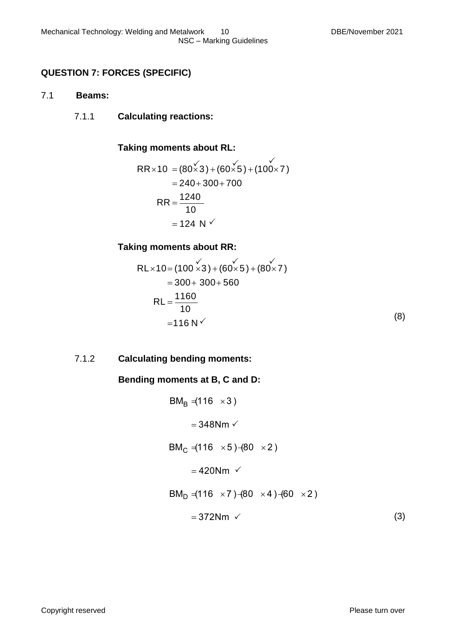# **QUESTION 7: FORCES (SPECIFIC)**

#### 7.1 **Beams:**

7.1.1 **Calculating reactions:**

### **Taking moments about RL:**

$$
RR \times 10 = (80 \times 3) + (60 \times 5) + (100 \times 7)
$$
  
= 240 + 300 + 700  

$$
RR = \frac{1240}{10}
$$
  
= 124 N

### **Taking moments about RR:**

$$
RL \times 10 = (100 \times 3) + (60 \times 5) + (80 \times 7)
$$
  
= 300 + 300 + 560  

$$
RL = \frac{1160}{10}
$$
  
= 116 N (8)

### 7.1.2 **Calculating bending moments:**

### **Bending moments at B, C and D:**

$$
BM_B = (116 \times 3)
$$
  
= 348Nm  
  
BM<sub>C</sub> = (116 \times 5) - (80 \times 2)  
= 420Nm  
  
BM<sub>D</sub> = (116 \times 7) - (80 \times 4) - (60 \times 2)  
= 372Nm (3)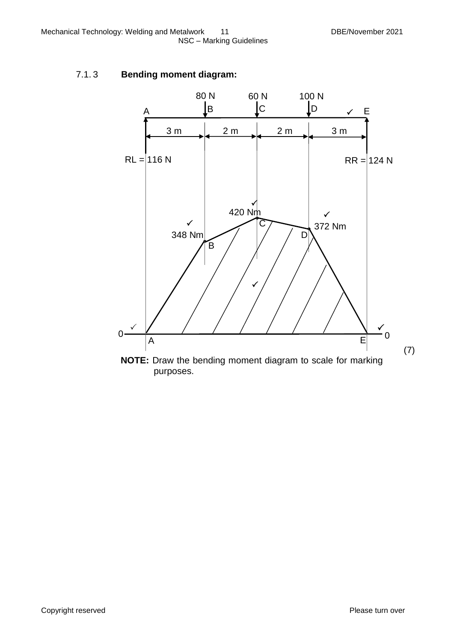# 7.1. 3 **Bending moment diagram:**

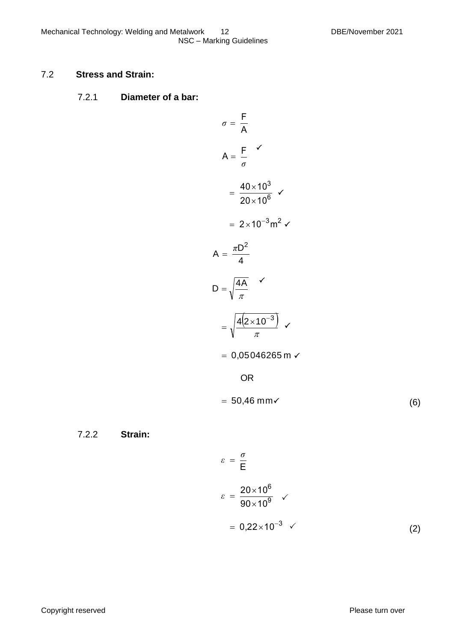### 7.2 **Stress and Strain:**

#### 7.2.1 **Diameter of a bar:**

$$
\sigma = \frac{F}{A}
$$
  
\n
$$
A = \frac{F}{\sigma}
$$
  
\n
$$
= \frac{40 \times 10^3}{20 \times 10^6}
$$
  
\n
$$
= 2 \times 10^{-3} \text{ m}^2
$$
  
\n
$$
A = \frac{\pi D^2}{4}
$$
  
\n
$$
D = \sqrt{\frac{4A}{\pi}}
$$
  
\n
$$
= \sqrt{\frac{4(2 \times 10^{-3})}{\pi}} \sqrt{\pi}
$$
  
\n
$$
= 0,05046265 \text{ m}
$$
  
\nOR  
\n
$$
= 50,46 \text{ mm}
$$

7.2.2 **Strain:**

$$
\varepsilon = \frac{\sigma}{E}
$$
  
\n
$$
\varepsilon = \frac{20 \times 10^6}{90 \times 10^9} \quad \checkmark
$$
  
\n
$$
= 0.22 \times 10^{-3} \quad \checkmark
$$
 (2)

(6)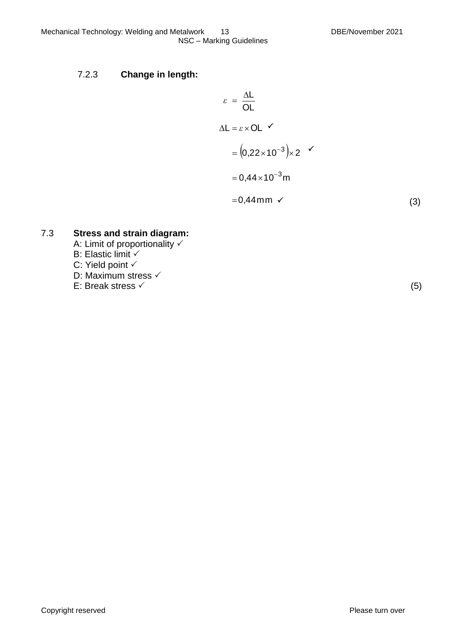$$
\varepsilon = \frac{\Delta L}{OL}
$$
  
\n
$$
\Delta L = \varepsilon \times OL \checkmark
$$
  
\n
$$
= (0,22 \times 10^{-3}) \times 2 \checkmark
$$
  
\n
$$
= 0,44 \times 10^{-3} \text{m}
$$
  
\n
$$
= 0,44 \text{mm} \checkmark
$$
 (3)

7.3 **Stress and strain diagram:** A: Limit of proportionality B: Elastic limit C: Yield point

D: Maximum stress √

E: Break stress  $\checkmark$  (5)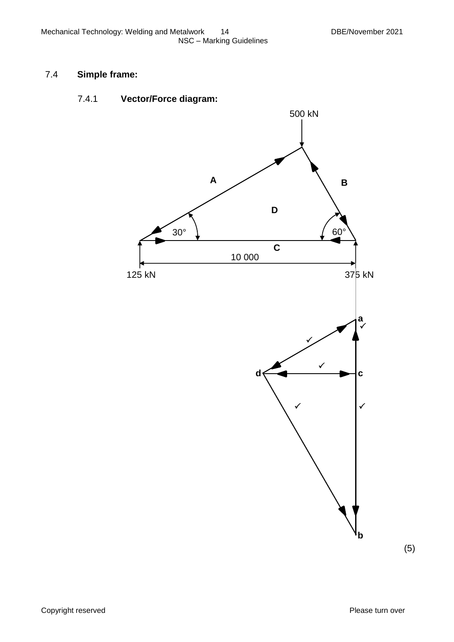# 7.4 **Simple frame:**

# 7.4.1 **Vector/Force diagram:**



(5)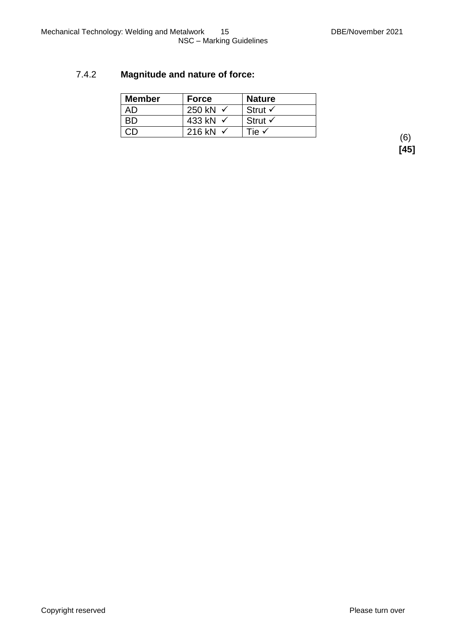# 7.4.2 **Magnitude and nature of force:**

| <b>Member</b> | <b>Force</b>        | <b>Nature</b>      |
|---------------|---------------------|--------------------|
| AD            | 250 kN              | Strut $\checkmark$ |
| ВD            | 433 kN √            | Strut $\checkmark$ |
|               | 216 kN $\checkmark$ | Tie √              |

(6) **[45]**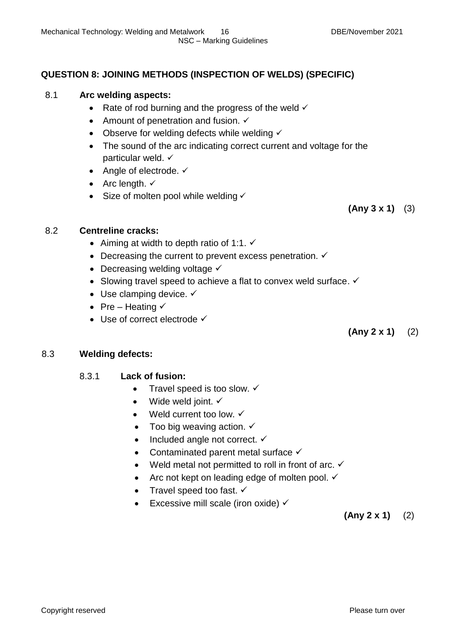# **QUESTION 8: JOINING METHODS (INSPECTION OF WELDS) (SPECIFIC)**

# 8.1 **Arc welding aspects:**

- Rate of rod burning and the progress of the weld  $\checkmark$
- Amount of penetration and fusion.  $\checkmark$
- Observe for welding defects while welding  $\checkmark$
- The sound of the arc indicating correct current and voltage for the particular weld.
- Angle of electrode.  $\checkmark$
- Arc length.  $\checkmark$
- Size of molten pool while welding  $\checkmark$

**(Any 3 x 1)** (3)

### 8.2 **Centreline cracks:**

- Aiming at width to depth ratio of 1:1.  $\checkmark$
- Decreasing the current to prevent excess penetration.  $\checkmark$
- Decreasing welding voltage  $\checkmark$
- Slowing travel speed to achieve a flat to convex weld surface.  $\checkmark$
- $\bullet$  Use clamping device.  $\checkmark$
- Pre Heating  $\checkmark$
- $\bullet$  Use of correct electrode  $\checkmark$

**(Any 2 x 1)** (2)

### 8.3 **Welding defects:**

### 8.3.1 **Lack of fusion:**

- Travel speed is too slow.  $\checkmark$
- Wide weld joint.  $\checkmark$
- $\bullet$  Weld current too low.  $\checkmark$
- Too big weaving action.  $\checkmark$
- $\bullet$  Included angle not correct.  $\checkmark$
- Contaminated parent metal surface  $\checkmark$
- Weld metal not permitted to roll in front of arc.  $\checkmark$
- Arc not kept on leading edge of molten pool.  $\checkmark$
- Travel speed too fast.  $\checkmark$
- Excessive mill scale (iron oxide)  $\checkmark$

**(Any 2 x 1)** (2)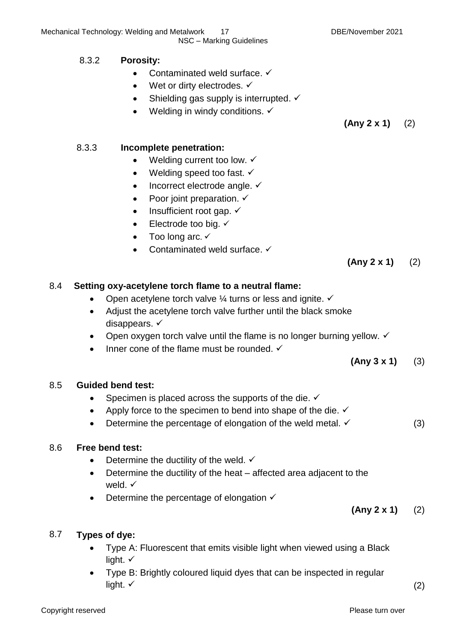### 8.3.2 **Porosity:**

- Contaminated weld surface.  $\checkmark$
- Wet or dirty electrodes.  $\checkmark$
- Shielding gas supply is interrupted.  $\checkmark$
- Welding in windy conditions.  $\checkmark$

**(Any 2 x 1)** (2)

### 8.3.3 **Incomplete penetration:**

- Welding current too low.  $\checkmark$
- Welding speed too fast.  $\checkmark$
- $\bullet$  Incorrect electrode angle.  $\checkmark$
- Poor joint preparation.  $\checkmark$
- $\bullet$  Insufficient root gap.  $\checkmark$
- $\bullet$  Electrode too big.  $\checkmark$
- Too long arc.  $\checkmark$
- Contaminated weld surface. ✓

**(Any 2 x 1)** (2)

### 8.4 **Setting oxy-acetylene torch flame to a neutral flame:**

- Open acetylene torch valve  $\frac{1}{4}$  turns or less and ignite.  $\checkmark$
- Adjust the acetylene torch valve further until the black smoke disappears.  $\checkmark$
- Open oxygen torch valve until the flame is no longer burning yellow.  $\checkmark$
- Inner cone of the flame must be rounded.  $\checkmark$

**(Any 3 x 1)** (3)

### 8.5 **Guided bend test:**

- Specimen is placed across the supports of the die.  $\checkmark$
- Apply force to the specimen to bend into shape of the die.  $\checkmark$
- Determine the percentage of elongation of the weld metal.  $\checkmark$  (3)

### 8.6 **Free bend test:**

- Determine the ductility of the weld.  $\checkmark$
- Determine the ductility of the heat affected area adjacent to the weld.  $\checkmark$
- Determine the percentage of elongation  $\checkmark$

**(Any 2 x 1)** (2)

### 8.7 **Types of dye:**

- Type A: Fluorescent that emits visible light when viewed using a Black light.  $\checkmark$
- Type B: Brightly coloured liquid dyes that can be inspected in regular light.  $\checkmark$  (2)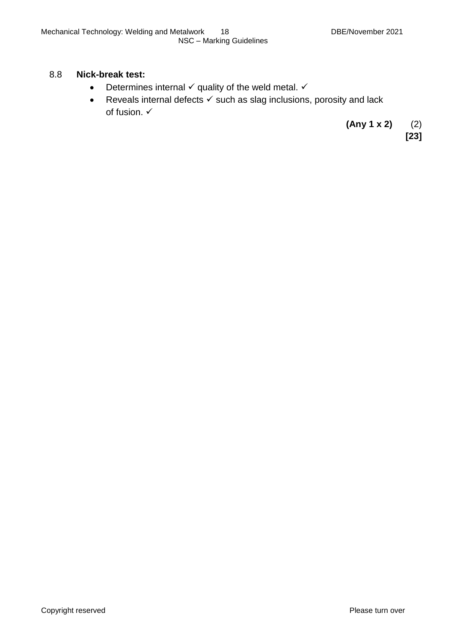#### 8.8 **Nick-break test:**

- Determines internal  $\checkmark$  quality of the weld metal.  $\checkmark$
- Reveals internal defects  $\checkmark$  such as slag inclusions, porosity and lack of fusion.

**(Any 1 x 2)** (2)

**[23]**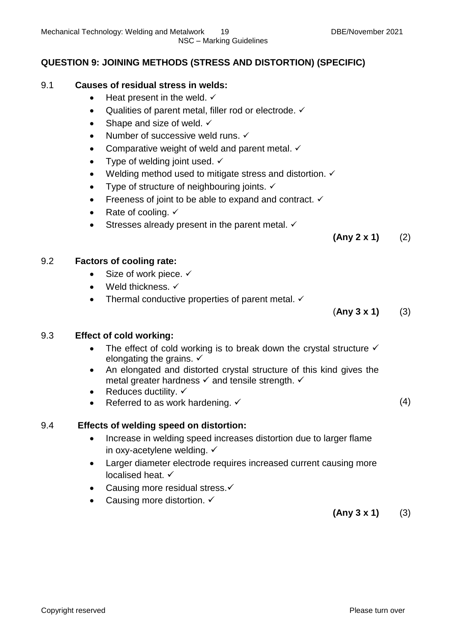NSC – Marking Guidelines

# **QUESTION 9: JOINING METHODS (STRESS AND DISTORTION) (SPECIFIC)**

### 9.1 **Causes of residual stress in welds:**

- Heat present in the weld.  $\checkmark$
- Qualities of parent metal, filler rod or electrode.  $\checkmark$
- Shape and size of weld.  $\checkmark$
- Number of successive weld runs.  $\checkmark$
- Comparative weight of weld and parent metal.  $\checkmark$
- Type of welding joint used.  $\checkmark$
- Welding method used to mitigate stress and distortion.  $\checkmark$
- Type of structure of neighbouring joints.  $\checkmark$
- Freeness of joint to be able to expand and contract.  $\checkmark$
- Rate of cooling.  $\checkmark$
- Stresses already present in the parent metal.  $\checkmark$

**(Any 2 x 1)** (2)

### 9.2 **Factors of cooling rate:**

- $\bullet$  Size of work piece.  $\checkmark$
- $\bullet$  Weld thickness.  $\checkmark$
- Thermal conductive properties of parent metal.  $\checkmark$

(**Any 3 x 1)** (3)

### 9.3 **Effect of cold working:**

- The effect of cold working is to break down the crystal structure  $\checkmark$ elongating the grains.  $\checkmark$
- An elongated and distorted crystal structure of this kind gives the metal greater hardness  $\checkmark$  and tensile strength.  $\checkmark$
- Reduces ductility.  $\checkmark$
- Referred to as work hardening.  $\checkmark$  (4)

### 9.4 **Effects of welding speed on distortion:**

- Increase in welding speed increases distortion due to larger flame in oxy-acetylene welding.
- Larger diameter electrode requires increased current causing more localised heat.
- Causing more residual stress. ✓
- Causing more distortion. ✓

**(Any 3 x 1)** (3)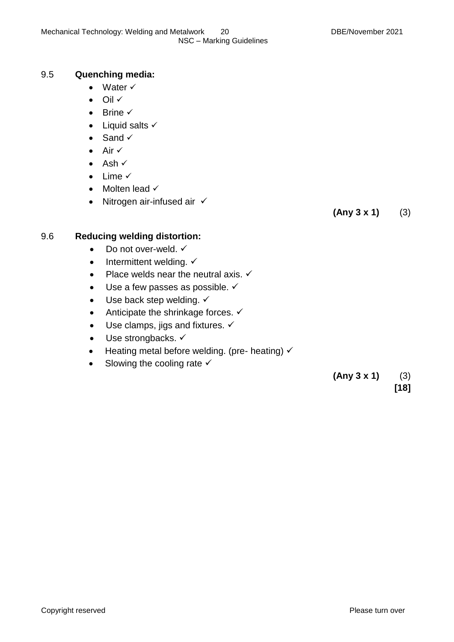### 9.5 **Quenching media:**

- Water  $\checkmark$
- $\bullet$  Oil  $\checkmark$
- $\bullet$  Brine  $\checkmark$
- $\bullet$  Liquid salts  $\checkmark$
- $\bullet$  Sand  $\checkmark$
- $\bullet$  Air  $\checkmark$
- $\bullet$  Ash  $\checkmark$
- $\bullet$  Lime  $\checkmark$
- $\bullet$  Molten lead  $\checkmark$
- Nitrogen air-infused air  $\checkmark$

**(Any 3 x 1)** (3)

### 9.6 **Reducing welding distortion:**

- $\bullet$  Do not over-weld.  $\checkmark$
- $\bullet$  Intermittent welding.  $\checkmark$
- Place welds near the neutral axis.  $\checkmark$
- $\bullet$  Use a few passes as possible.  $\checkmark$
- $\bullet$  Use back step welding.  $\checkmark$
- Anticipate the shrinkage forces.  $\checkmark$
- $\bullet$  Use clamps, jigs and fixtures.  $\checkmark$
- $\bullet$  Use strongbacks.  $\checkmark$
- $\bullet$  Heating metal before welding. (pre- heating)  $\checkmark$
- $\bullet$  Slowing the cooling rate  $\checkmark$

 **(Any 3 x 1)** (3) **[18]**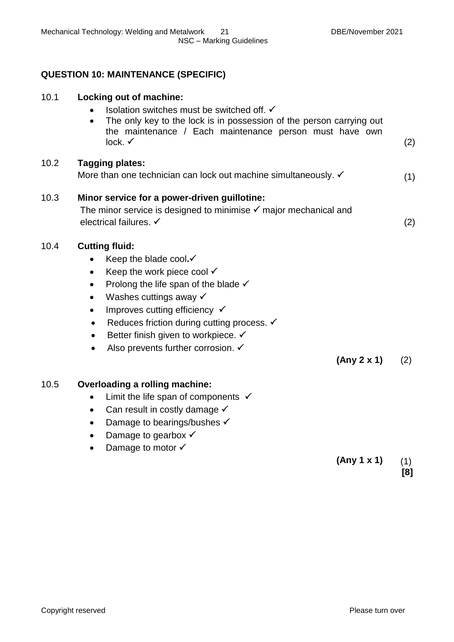# **QUESTION 10: MAINTENANCE (SPECIFIC)**

| 10.1 | Locking out of machine:<br>Isolation switches must be switched off. √<br>The only key to the lock is in possession of the person carrying out<br>$\bullet$<br>the maintenance / Each maintenance person must have own<br>lock. $\checkmark$                                                                                                                                                                                   | (2) |
|------|-------------------------------------------------------------------------------------------------------------------------------------------------------------------------------------------------------------------------------------------------------------------------------------------------------------------------------------------------------------------------------------------------------------------------------|-----|
| 10.2 | <b>Tagging plates:</b><br>More than one technician can lock out machine simultaneously. √                                                                                                                                                                                                                                                                                                                                     | (1) |
| 10.3 | Minor service for a power-driven guillotine:<br>The minor service is designed to minimise $\checkmark$ major mechanical and<br>electrical failures. ✓                                                                                                                                                                                                                                                                         | (2) |
| 10.4 | <b>Cutting fluid:</b><br>Keep the blade cool.√<br>$\bullet$<br>Keep the work piece cool $\checkmark$<br>$\bullet$<br>Prolong the life span of the blade $\checkmark$<br>Washes cuttings away √<br>Improves cutting efficiency √<br>$\bullet$<br>Reduces friction during cutting process. V<br>$\bullet$<br>Better finish given to workpiece. ✓<br>$\bullet$<br>Also prevents further corrosion. ✓<br>$\bullet$<br>(Any 2 x 1) | (2) |
| 10.5 | <b>Overloading a rolling machine:</b><br>Limit the life span of components $\checkmark$<br>Can result in costly damage $\checkmark$<br>$\bullet$<br>Damage to bearings/bushes √<br>$\bullet$<br>Damage to gearbox $\checkmark$<br>٠<br>Damage to motor $\checkmark$                                                                                                                                                           |     |
|      | (Any 1 x 1)                                                                                                                                                                                                                                                                                                                                                                                                                   | (1) |

**[8]**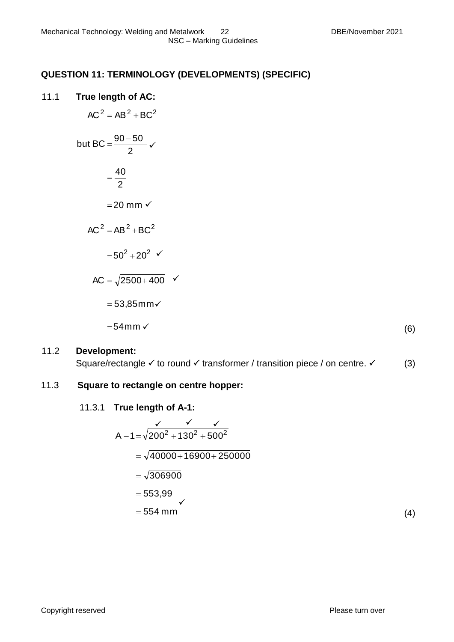# **QUESTION 11: TERMINOLOGY (DEVELOPMENTS) (SPECIFIC)**

### 11.1 **True length of AC:**

$$
AC2 = AB2 + BC2
$$
  
but BC =  $\frac{90 - 50}{2}$   $\checkmark$   

$$
= \frac{40}{2}
$$
  
= 20 mm  $\checkmark$   

$$
AC2 = AB2 + BC2
$$
  

$$
= 502 + 202 \checkmark
$$
  

$$
AC = \sqrt{2500 + 400} \checkmark
$$
  

$$
= 53,85 \text{mm} \checkmark
$$
  

$$
= 54 \text{mm} \checkmark
$$

(6)

### 11.2 **Development:**

Square/rectangle  $\checkmark$  to round  $\checkmark$  transformer / transition piece / on centre.  $\checkmark$  (3)

#### 11.3 **Square to rectangle on centre hopper:**

11.3.1 **True length of A-1:**

$$
A-1=\sqrt{200^2+130^2+500^2}
$$
  
=  $\sqrt{40000+16900+250000}$   
=  $\sqrt{306900}$   
= 553,99  
= 554 mm

(4)